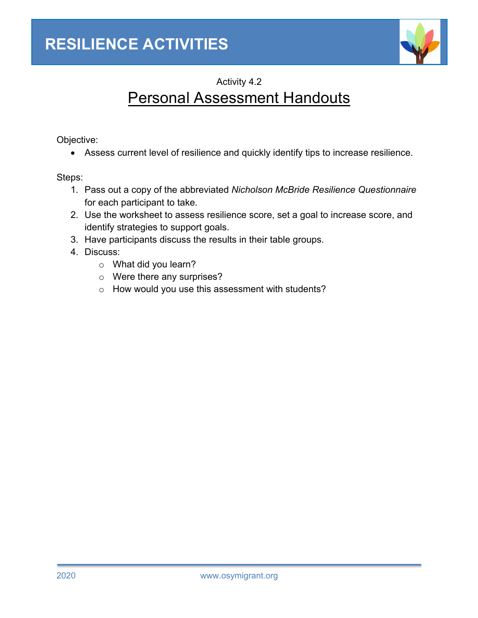

Activity 4.2

# Personal Assessment Handouts

Objective:

• Assess current level of resilience and quickly identify tips to increase resilience.

Steps:

- 1. Pass out a copy of the abbreviated *Nicholson McBride Resilience Questionnaire* for each participant to take*.*
- 2. Use the worksheet to assess resilience score, set a goal to increase score, and identify strategies to support goals.
- 3. Have participants discuss the results in their table groups.
- 4. Discuss:
	- o What did you learn?
	- o Were there any surprises?
	- o How would you use this assessment with students?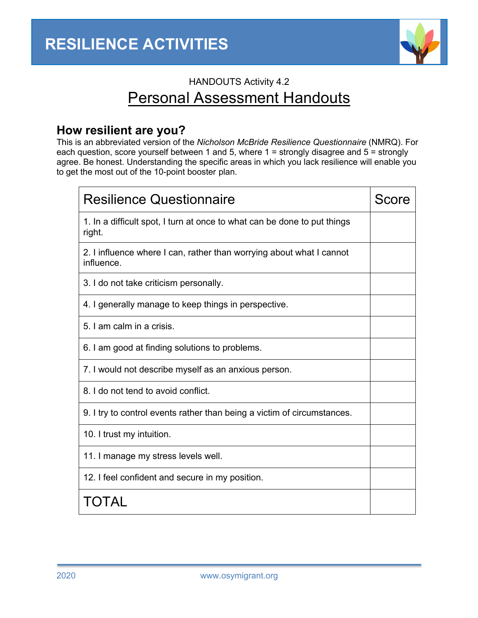

# HANDOUTS Activity 4.2 Personal Assessment Handouts

## **How resilient are you?**

This is an abbreviated version of the *Nicholson McBride Resilience Questionnaire* (NMRQ). For each question, score yourself between 1 and 5, where 1 = strongly disagree and 5 = strongly agree. Be honest. Understanding the specific areas in which you lack resilience will enable you to get the most out of the 10-point booster plan.

| <b>Resilience Questionnaire</b>                                                    | <b>Score</b> |
|------------------------------------------------------------------------------------|--------------|
| 1. In a difficult spot, I turn at once to what can be done to put things<br>right. |              |
| 2. I influence where I can, rather than worrying about what I cannot<br>influence. |              |
| 3. I do not take criticism personally.                                             |              |
| 4. I generally manage to keep things in perspective.                               |              |
| 5. I am calm in a crisis.                                                          |              |
| 6. I am good at finding solutions to problems.                                     |              |
| 7. I would not describe myself as an anxious person.                               |              |
| 8. I do not tend to avoid conflict.                                                |              |
| 9. I try to control events rather than being a victim of circumstances.            |              |
| 10. I trust my intuition.                                                          |              |
| 11. I manage my stress levels well.                                                |              |
| 12. I feel confident and secure in my position.                                    |              |
| TOTAL                                                                              |              |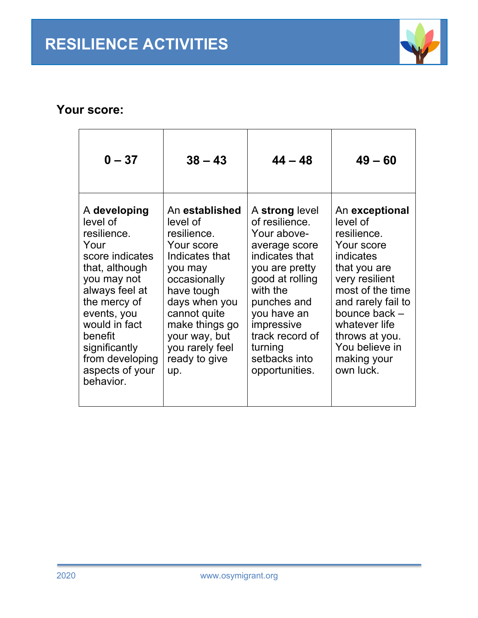

## **Your score:**

| $0 - 37$                                                                                                                                                                                                                                             | $38 - 43$                                                                                                                                                                                                                         | $44 - 48$                                                                                                                                                                                                                                        | $49 - 60$                                                                                                                                                                                                                                          |
|------------------------------------------------------------------------------------------------------------------------------------------------------------------------------------------------------------------------------------------------------|-----------------------------------------------------------------------------------------------------------------------------------------------------------------------------------------------------------------------------------|--------------------------------------------------------------------------------------------------------------------------------------------------------------------------------------------------------------------------------------------------|----------------------------------------------------------------------------------------------------------------------------------------------------------------------------------------------------------------------------------------------------|
| A developing<br>level of<br>resilience.<br>Your<br>score indicates<br>that, although<br>you may not<br>always feel at<br>the mercy of<br>events, you<br>would in fact<br>benefit<br>significantly<br>from developing<br>aspects of your<br>behavior. | An established<br>level of<br>resilience.<br>Your score<br>Indicates that<br>you may<br>occasionally<br>have tough<br>days when you<br>cannot quite<br>make things go<br>your way, but<br>you rarely feel<br>ready to give<br>up. | A strong level<br>of resilience.<br>Your above-<br>average score<br>indicates that<br>you are pretty<br>good at rolling<br>with the<br>punches and<br>you have an<br>impressive<br>track record of<br>turning<br>setbacks into<br>opportunities. | An exceptional<br>level of<br>resilience.<br>Your score<br>indicates<br>that you are<br>very resilient<br>most of the time<br>and rarely fail to<br>bounce back -<br>whatever life<br>throws at you.<br>You believe in<br>making your<br>own luck. |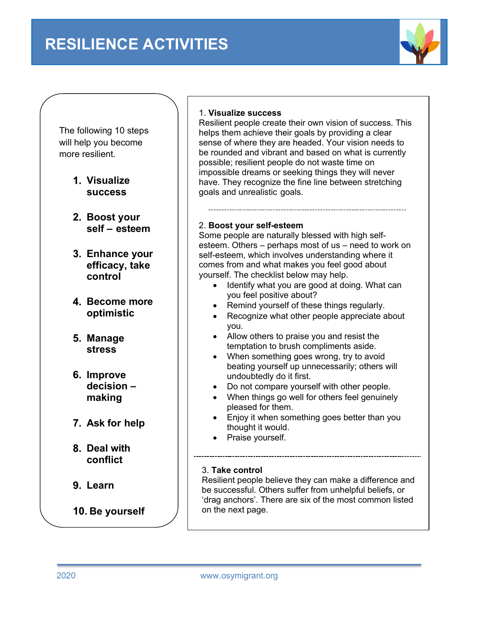

The following 10 steps will help you become more resilient.

- **Visualize success**
- **Boost your self – esteem**
- **Enhance your efficacy, take control**
- **Become more optimistic**
- **Manage stress**
- **Improve decision – making**
- **Ask for help**
- **Deal with conflict**
- **Learn**
- **Be yourself**

## 1. **Visualize success**

Resilient people create their own vision of success. This helps them achieve their goals by providing a clear sense of where they are headed. Your vision needs to be rounded and vibrant and based on what is currently possible; resilient people do not waste time on impossible dreams or seeking things they will never have. They recognize the fine line between stretching goals and unrealistic goals.

### 2. **Boost your self-esteem**

Some people are naturally blessed with high selfesteem. Others – perhaps most of us – need to work on self-esteem, which involves understanding where it comes from and what makes you feel good about yourself. The checklist below may help.

- Identify what you are good at doing. What can you feel positive about?
- Remind yourself of these things regularly.
- Recognize what other people appreciate about you.
- Allow others to praise you and resist the temptation to brush compliments aside.
- When something goes wrong, try to avoid beating yourself up unnecessarily; others will undoubtedly do it first.
- Do not compare yourself with other people.
- When things go well for others feel genuinely pleased for them.
- Enjoy it when something goes better than you thought it would.
- Praise yourself.

### 3. **Take control**

Resilient people believe they can make a difference and be successful. Others suffer from unhelpful beliefs, or 'drag anchors'. There are six of the most common listed on the next page.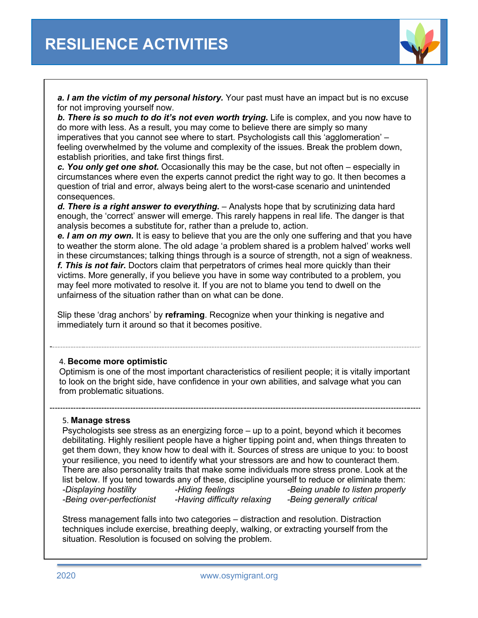

*a. I am the victim of my personal history.* Your past must have an impact but is no excuse for not improving yourself now.

*b. There is so much to do it's not even worth trying.* Life is complex, and you now have to do more with less. As a result, you may come to believe there are simply so many imperatives that you cannot see where to start. Psychologists call this 'agglomeration' – feeling overwhelmed by the volume and complexity of the issues. Break the problem down, establish priorities, and take first things first.

*c. You only get one shot.* Occasionally this may be the case, but not often – especially in circumstances where even the experts cannot predict the right way to go. It then becomes a question of trial and error, always being alert to the worst-case scenario and unintended consequences.

*d. There is a right answer to everything.* – Analysts hope that by scrutinizing data hard enough, the 'correct' answer will emerge. This rarely happens in real life. The danger is that analysis becomes a substitute for, rather than a prelude to, action.

*e. I am on my own.* It is easy to believe that you are the only one suffering and that you have to weather the storm alone. The old adage 'a problem shared is a problem halved' works well in these circumstances; talking things through is a source of strength, not a sign of weakness. *f. This is not fair.* Doctors claim that perpetrators of crimes heal more quickly than their victims. More generally, if you believe you have in some way contributed to a problem, you may feel more motivated to resolve it. If you are not to blame you tend to dwell on the unfairness of the situation rather than on what can be done.

Slip these 'drag anchors' by **reframing**. Recognize when your thinking is negative and immediately turn it around so that it becomes positive.

#### 4. **Become more optimistic**

Optimism is one of the most important characteristics of resilient people; it is vitally important to look on the bright side, have confidence in your own abilities, and salvage what you can from problematic situations.

#### 5. **Manage stress**

Psychologists see stress as an energizing force – up to a point, beyond which it becomes debilitating. Highly resilient people have a higher tipping point and, when things threaten to get them down, they know how to deal with it. Sources of stress are unique to you: to boost your resilience, you need to identify what your stressors are and how to counteract them. There are also personality traits that make some individuals more stress prone. Look at the list below. If you tend towards any of these, discipline yourself to reduce or eliminate them: *-Displaying hostility -Hiding feelings -Being unable to listen properly -Being over-perfectionist -Having difficulty relaxing -Being generally critical*

Stress management falls into two categories – distraction and resolution. Distraction techniques include exercise, breathing deeply, walking, or extracting yourself from the situation. Resolution is focused on solving the problem.